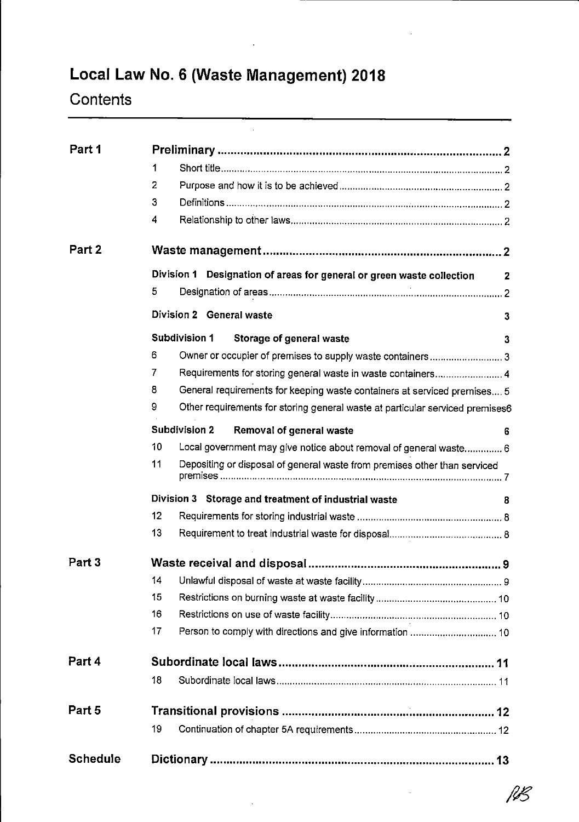# Local Law No. 6 (Waste Management) 2018

l,

# **Contents**

| Part 1          |                                                                                    |              |
|-----------------|------------------------------------------------------------------------------------|--------------|
|                 | 1                                                                                  |              |
|                 | 2                                                                                  |              |
|                 | 3                                                                                  |              |
|                 | 4                                                                                  |              |
| Part 2          |                                                                                    |              |
|                 | Division 1<br>Designation of areas for general or green waste collection           | $\mathbf{2}$ |
|                 | 5                                                                                  |              |
|                 | Division 2 General waste                                                           | 3            |
|                 | <b>Subdivision 1</b><br>Storage of general waste                                   | 3            |
|                 | 6<br>Owner or occupier of premises to supply waste containers 3                    |              |
|                 | 7<br>Requirements for storing general waste in waste containers 4                  |              |
|                 | 8<br>General requirements for keeping waste containers at serviced premises 5      |              |
|                 | 9<br>Other requirements for storing general waste at particular serviced premises6 |              |
|                 | <b>Subdivision 2</b><br>Removal of general waste                                   | 6.           |
|                 | 10<br>Local government may give notice about removal of general waste 6            |              |
|                 | 11<br>Depositing or disposal of general waste from premises other than serviced    |              |
|                 | Division 3 Storage and treatment of industrial waste                               | 8            |
|                 | 12                                                                                 |              |
|                 | 13                                                                                 |              |
| Part 3          |                                                                                    |              |
|                 | 14                                                                                 |              |
|                 | 15                                                                                 |              |
|                 | 16                                                                                 |              |
|                 | 17                                                                                 |              |
| Part 4          |                                                                                    |              |
|                 | 18                                                                                 |              |
| Part 5          |                                                                                    |              |
|                 | 19                                                                                 |              |
| <b>Schedule</b> |                                                                                    |              |

 $\beta$ B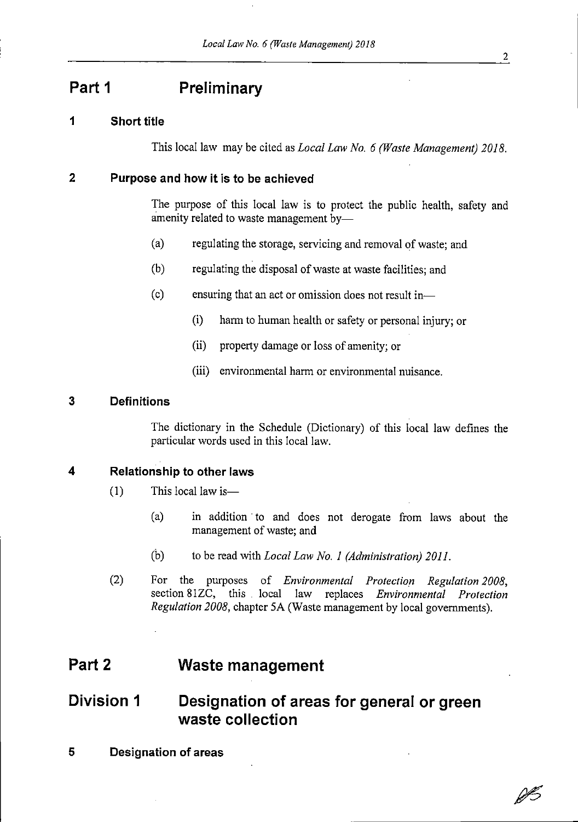## Part 1 **Preliminary**

#### 1 Short title

This local law may be cited as *Local Law No. 6 (Waste Management)* 2018.

#### <sup>2</sup> Purpose and how it is to be achieved

The purpose of this local law is to protect the public health, safety and amenity related to waste management by-

- (a) regulating the storage, servicing and removal of waste; and
- (b) regulating the disposal of waste at waste facilities; and
- $(c)$  ensuring that an act or omission does not result in-
	- (i) harm to human health or safety or personal injury; or
	- (ii) property damage or loss of amenity; or
	- (iii) environmental harm or environmental nuisance.

#### 3 Definitions

The dictionary in the Schedule (Dictionary) of this local law defines the particular words used in this local law.

#### 4 Relationship to other laws

- $(1)$  This local law is
	- (a) in addition to and does not derogate from laws about the management of waste; and
	- (b) to be read with Local Law No. 1 (Administration) 2011.
- (2) For the purposes of *Environmental Protection Regulation 2008*, section 81ZC, this local law replaces Environmental Protection Regulation 2008, chapter 5A (Waste management by local governments).

## Part 2 Waste management

## Division <sup>1</sup> Designation of areas for general or green waste collection

<sup>5</sup> Designation of areas

ØB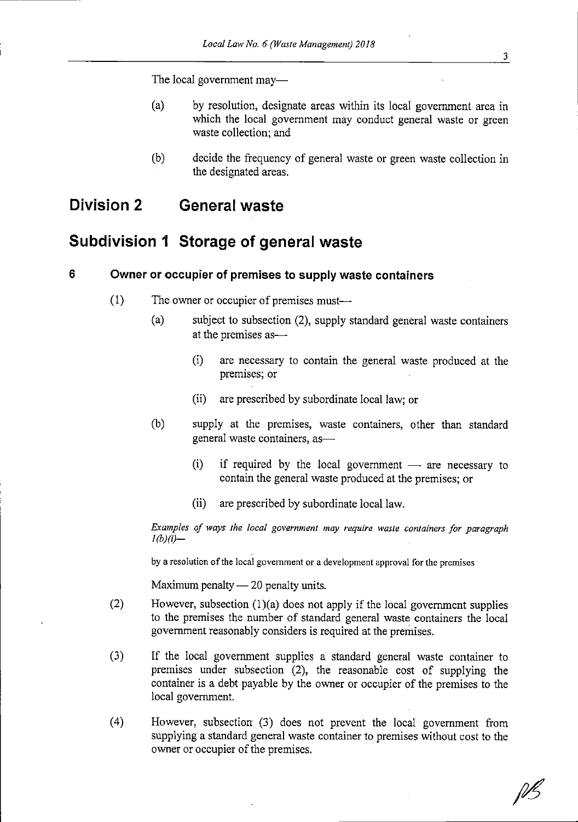The local government may-

- (a) by resolution, designate areas within its local government area in which the local government may conduct general waste or green waste collection: and
- (b) decide the frequency of general waste or green waste collection in the designated areas.

## Division <sup>2</sup> General waste

## Subdivision <sup>1</sup> Storage of general waste

#### 6 Owner or occupier of premises to supply waste containers

- $(1)$  The owner or occupier of premises must—
	- (a) subject to subsection  $(2)$ , supply standard general waste containers at the premises as----
		- (i) are necessary to contain the general waste produced at the premises; or
		- (ii) are prescribed by subordinate local law; or
	- (b) supply at the premises, waste containers, other than standard general waste containers, as-
		- (i) if required by the local government are necessary to contain the general waste produced at the premises; or contain the general waste produced at the premises; or
		- (ii) are prescribed by subordinate local law.

Examples of ways the local government may require waste containers for paragraph  $I(b)(i)$ -

by a resolution of the local government or a development approval for the premises

Maximum penalty  $-20$  penalty units.

- Maximum penalty 20 penalty units.<br>
(2) However, subsection (1)(a) does not apply if the local government supplies<br>
to the premises the number of standard general waste containers the local to the premises the number of standard general waste containers the local government reasonably considers is required at the premises.
- (3) If the local government supplies <sup>a</sup> standard general waste container to premises under subsection (2), the reasonable cost of supplying the container is <sup>a</sup> debt payable by the owner or occupier of the premises to the local government.
- (4) However, subsection (3) does not prevent the local government from supplying a standard general waste container to premises without cost to the owner or occupier of the premises.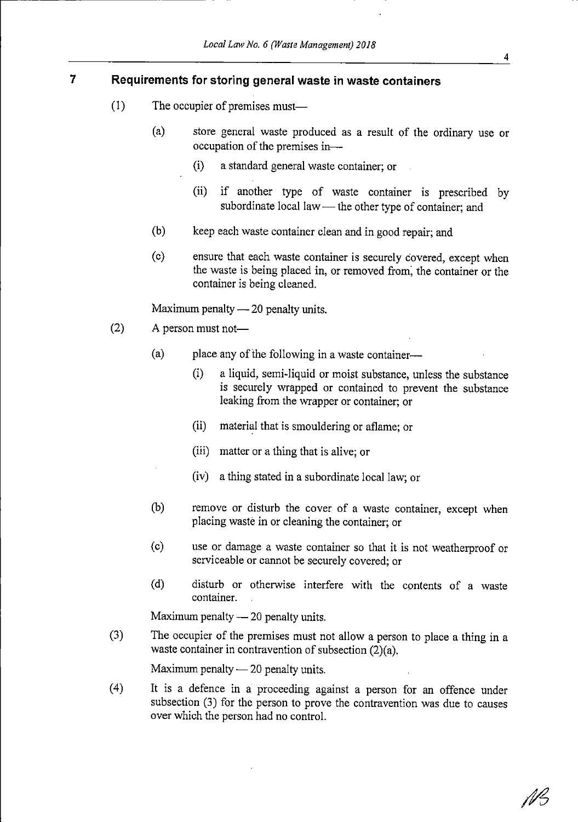#### 7 Requirements for storing general waste in waste containers

- $(1)$  The occupier of premises must—
	- (a) store general waste produced as <sup>a</sup> result of the ordinary use or occupation of the premises in $-$ 
		- (i) <sup>a</sup> standard general waste container; or
		- (ii) if another type of waste container is prescribed by subordinate local law - the other type of container; and
	- (b) keep each waste container clean and in good repair; and
	- (c) ensure that each waste container is securely covered, except when the waste is being placed in, or removed from, the container or the container is being cleaned.

Maximum penalty  $-20$  penalty units.

- (2) <sup>A</sup> person must not-
	- $(a)$  place any of the following in a waste container--
		- (i) <sup>a</sup> liquid, semi-liquid or moist substance, unless the substance is securely wrapped or contained to prevent the substance leaking from the wrapper or container; or
		- (ii) material that is smoulderingor aflame; or
		- (iii) matter or <sup>a</sup> thing that is alive; or
		- (iv) <sup>a</sup> thing stated in <sup>a</sup> subordinatelocal law; or
	- (b) remove or disturb the cover of <sup>a</sup> waste container, except when placing waste in or cleaning the container; or
	- (c) use or damage <sup>a</sup> waste container so that it is not weatherproofor serviceable or cannot be securely covered; or
	- (d) disturb or otherwise interfere with the contents of <sup>a</sup> waste container.

Maximum penalty  $-20$  penalty units.

Maximum penalty -- 20 penalty units.<br>
(3) The occupier of the premises must not allow a person to place a thing in a<br>
waste container in contravention of subsection  $(2)(s)$ waste container in contravention of subsection  $(2)(a)$ .

Maximum penalty  $-20$  penalty units.

(4) It is <sup>a</sup> defence in <sup>a</sup> proceeding against <sup>a</sup> person for an offence under subsection (3) for the person to prove the contravention was due to causes over which the person had no control.

NB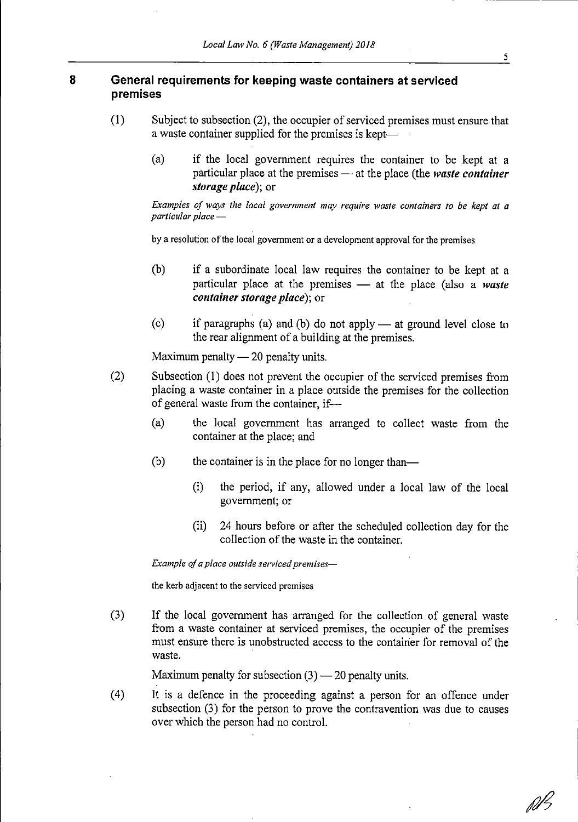#### 8 General requirements for keeping waste containers at serviced premises

- (1) Subject to subsection (2), the occupier of serviced premises must ensure that a waste container supplied for the premises is kept-
	- (a) if the local government requires the container to be kept at <sup>a</sup> particular place at the premises — at the place (the waste container<br>storage place); or<br>Examples of ways the local government may require waste containers to be kept at a particular place at the premises  $-$  at the place (the *waste container* storage place): or

particular place  $-\frac{1}{2}$ <br>by a resolution of the local government or a development approval for the premises

- (b) if <sup>a</sup> subordinate local law requires the container to be kept at <sup>a</sup> particular place at the premises —<br>container storage place); or<br>is used at  $(3, 10)$ . particular place at the premises  $-$  at the place (also a waste *container storage place)*; or
- (c) if paragraphs (a) and (b) do not apply at ground level close to<br>the rear alignment of a building at the premises.<br>Maximum penalty 20 penalty units. the rear alignment of a building at the premises.

Maximum penalty  $-20$  penalty units.

- Maximum penalty 20 penalty units.<br>
(2) Subsection (1) does not prevent the occupier of the serviced premises from<br>
placing a waste container in a place outside the premises for the collection placing a waste container in a place outside the premises for the collection of general waste from the container, if—<br>(a) the local government has arr
	- the local government has arranged to collect waste from the container at the place; and
	- $(b)$  the container is in the place for no longer than-
		- (i) the period, if any, allowed under <sup>a</sup> local law of the local government;or
		- (ii) <sup>24</sup> hours before or after the scheduled collection day for the collection of the waste in the container.

Example of a place outside serviced premises-

the kerb adjacent to the serviced premises

(3) If the local government has arranged for the collection of general waste from <sup>a</sup> waste container at serviced premises, the occupier of the premises must ensure there is unobstructed access to the container for removal of the waste.

Maximum penalty for subsection  $(3)$  - 20 penalty units.

(4) It is <sup>a</sup> defence in the proceeding against <sup>a</sup> person for an offence under subsection  $(3)$  for the person to prove the contravention was due to causes over which the person had no control.

fd I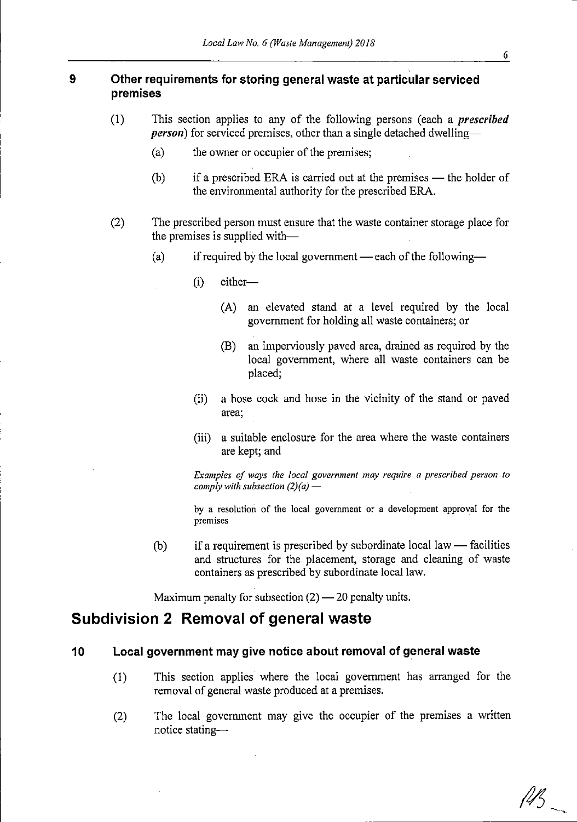#### 9 Other requirements for storing general waste at particular serviced premises

- (1) This section applies to any of the following persons (each a *prescribed* **person**) for serviced premises, other than a single detached dwelling-
	- (a) the owner or occupier of the premises;
	- (b) if a prescribed ERA is carried out at the premises ---<br>the environmental authority for the prescribed ERA. if a prescribed ERA is carried out at the premises — the holder of the environmental authority for the prescribed ERA.
- (2) The prescribed person must ensure that the waste container storage place for the premises is supplied with-
	- (a) if required by the local government each of the following—<br>
	(i) either—
		- $(i)$  either-
			- (A) an elevated stand at <sup>a</sup> level required by the local government for holdingall waste containers;or
			- (B) an imperviously paved area, drained as required by the local government, where all waste containers can be placed;
		- (ii) <sup>a</sup> hose cock and hose in the vicinity of the stand or paved area;
		- (iii) <sup>a</sup> suitable enclosure for the area where the waste containers are kept; and

Examples of ways the local government may require a prescribed person to comply with subsection  $(2)(a)$  -

by a resolution of the local government or a development approval for the premises

(b) if <sup>a</sup> requirement is prescribed by subordinatelocal law facilities —<br>1g and structures for the placement, storage and cleaning of waste containers as prescribed by subordinate local law.

Maximum penalty for subsection  $(2)$  - 20 penalty units.

### Subdivision <sup>2</sup> Removal of general waste

#### 10 Local governmentmay give notice about removal of general waste

- (1) This section applies where the local government has arranged for the removal of general waste produced at a premises.
- (2) The local government may give the occupier of the premises <sup>a</sup> written notice stating--·

 $\ell\nu_5$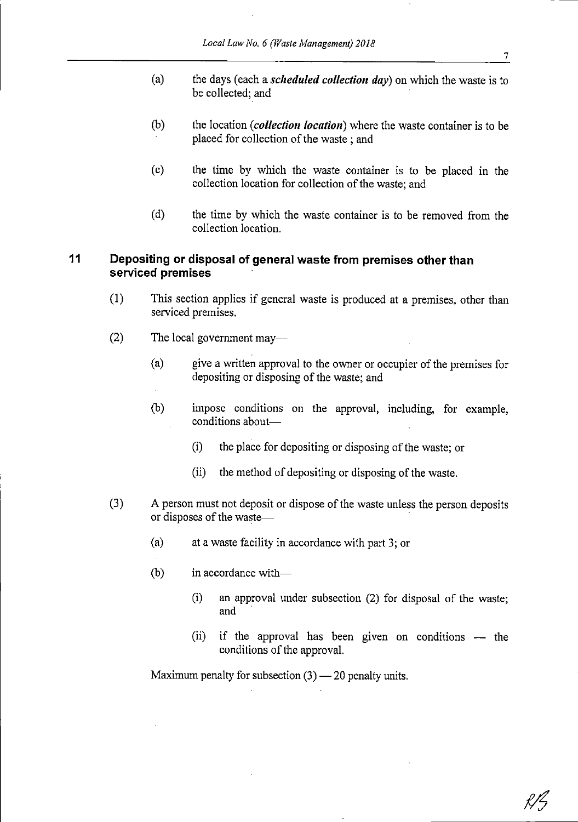- (a) the days (each a *scheduled collection day*) on which the waste is to be collected; and
- $(b)$  the location (*collection location*) where the waste container is to be placed for collection of the waste; and
- (c) the time by which the waste container is to be placed in the collection location for collection of the waste; and
- (d) the time by which the waste container is to be removed from the collection location.

#### <sup>11</sup> Depositing or disposal of general waste from premises other than serviced premises

- (1) This section applies if general waste is produced at <sup>a</sup> premises, other than serviced premises.
- $(2)$  The local government may—
	- (a) give a written approval to the owner or occupier of the premises for depositing or disposing of the waste; and
	- (b) impose conditions on the approval, including, for example, conditions about-
		- (i) the place for depositing or disposing of the waste; or
		- (ii) the method of depositing or disposing of the waste.
- (3) A person must not deposit or dispose of the waste unless the person deposits or disposes of the waste-
	- (a) at <sup>a</sup> waste facility in accordance with part 3; or
	- $(b)$  in accordance with-
		- (i) an approval under subsection (2) for disposal of the waste; and
		- (ii) if the approval has been given on conditions the conditions of the approval. conditions of the approval.

Maximum penalty for subsection (3) — 20 penalty units.<br>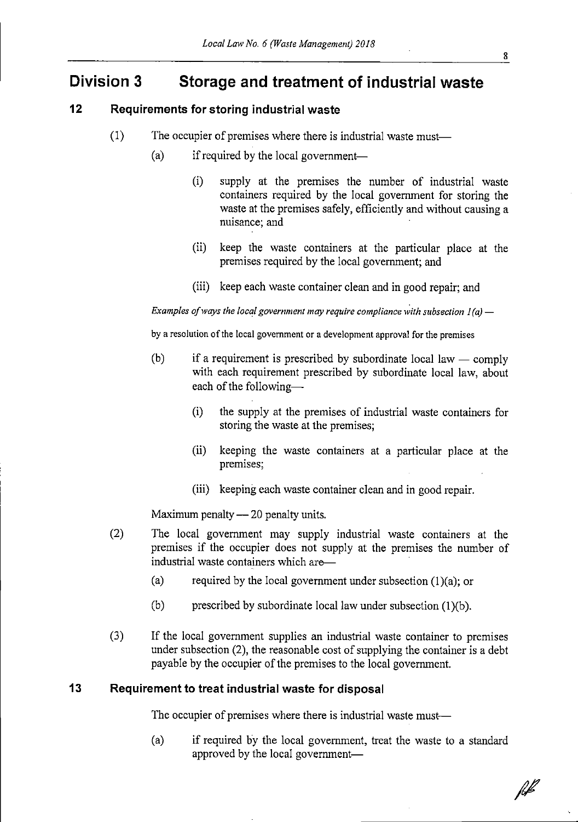## Division <sup>3</sup> Storage and treatment of industrial waste

#### 12 Requirements for storing industrial waste

- $(1)$  The occupier of premises where there is industrial waste must-
	- (a) if required by the local government-
		- (i) supply at the premises the number of industrial waste containers required by the local government for storing the waste at the premises safely, efficiently and without causing a nuisance; and
		- (ii) keep the waste containers at the particular place at the premises required by the local government; and
		- (iii) keep each waste container clean and in good repair; and

Examples of ways the local government may require compliance with subsection  $I(a)$  -

by a resolution of the local government or a development approval for the premises

- (b) if a requirement is prescribed by subordinate local law comply —<br>lav with each requirement prescribed by subordinate local law, about each of the following-
	- (i) the supply at the premises of industrial waste containers for storing the waste at the premises;
	- (ii) keeping the waste containers at <sup>a</sup> particular place at the premises;
	- (iii) keeping each waste container clean and in good repair.

Maximum penalty - 20 penalty units.

- Maximum penalty -- 20 penalty units.<br>
(2) The local government may supply industrial waste containers at the premises if the occupier does not supply at the premises the number of premises if the occupier does not supply at the premises the number of industrial waste containers which are<br>
(a) required by the local government
	- required by the local government under subsection  $(1)(a)$ ; or
	- (b) prescribed by subordinate local law under subsection  $(1)(b)$ .
- (3) If the local government supplies an industrial waste container to premises under subsection  $(2)$ , the reasonable cost of supplying the container is a debt payable by the occupier of the premises to the local government.

#### 13 Requirement to treat industrial waste for disposal

The occupier of premises where there is industrial waste must-

(a) if required by the local government, treat the waste to <sup>a</sup> standard approved by the local government-

hl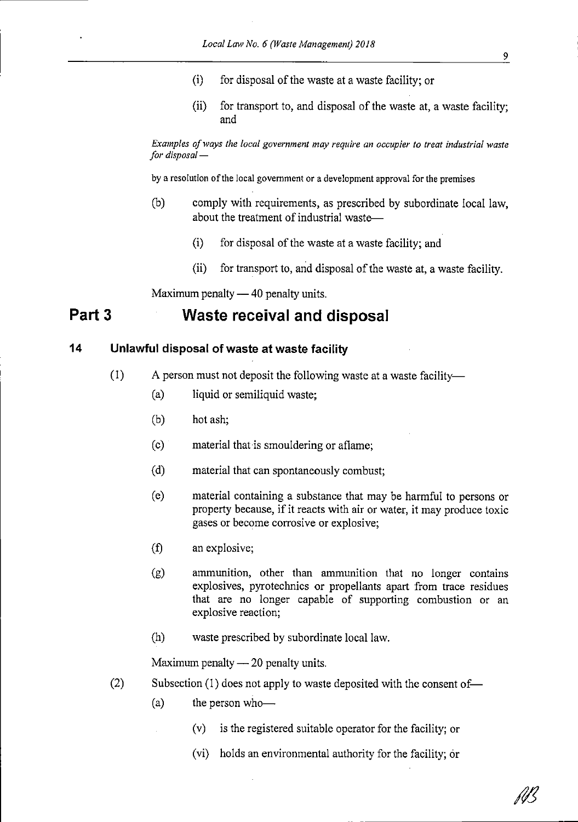- $(i)$  for disposal of the waste at a waste facility; or
- (ii) for transport to, and disposal of the waste at, a waste facility; and

Examples of ways the local government may require an occupier to treat industrial waste for disposal  $-$ 

by a resolution of the local government or a development approval for the premises

- (b) comply with requirements, as prescribed by subordinate local law, about the treatment of industrial waste-
	- $(i)$  for disposal of the waste at a waste facility; and
	- (ii) for transport to, and disposal of the waste at, a waste facility.

## Maximum penalty — 40 penalty units.<br>**Waste receival and** Part <sup>3</sup> Waste receival and disposal

#### <sup>14</sup> Unlawful disposal of waste at waste facility

- $(1)$  A person must not deposit the following waste at a waste facility-
	- (a) liquid or semiliquid waste;
	- (b) hot ash;
	- $(c)$  material that is smouldering or aflame;
	- (d) material that can spontaneously combust;
	- (e) material containing <sup>a</sup> substance that may be harmful to persons or property because, if it reacts with air or water, it may produce toxic gases or become corrosive or explosive;
	- (f) an explosive;
	- (g) ammunition, other than ammunition that no longer contains explosives, pyrotechnics or propellants apart from trace residues that are no longer capable of supporting combustion or an explosive reaction;
	- (h) waste prescribed by subordinatelocal law.

Maximum penalty  $-20$  penalty units.

- Maximum penalty -- 20 penalty units.<br>
(2) Subsection (1) does not apply to waste deposited with the consent of-
	- $(a)$  the person who-
		- $(v)$  is the registered suitable operator for the facility; or
			- (vi) holds an environmental authority for the facility; or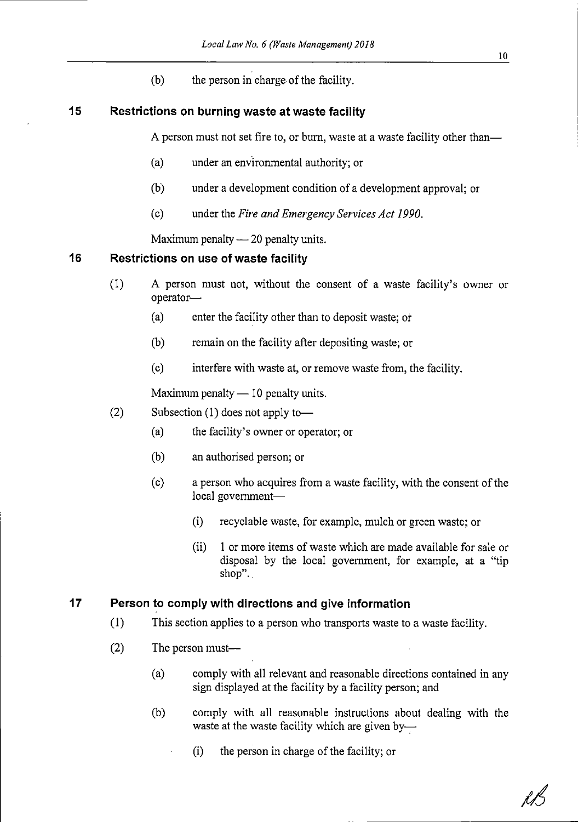$(b)$  the person in charge of the facility.

#### <sup>15</sup> Restrictions on burning waste at waste facility

A person must not set fire to, or burn, waste at a waste facility other than—

- (a) under an environmental authority; or
- (b) under a development condition of a development approval; or
- (c) under the Fire and Emergency Services Act 1990.

Maximum penalty  $-20$  penalty units.

# Maximum penalty --- 20 penalty u<br>1<mark>6 Restrictions on use of waste facility</mark>

- (1) A person must not, without the consent of <sup>a</sup> waste facility's owner or operator-
	- (a) enter the facility other than to depositwaste; or
	- (b) remainon the facility after depositing waste; or
	- (c) interfere with waste at, or remove waste from, the facility.

Maximum penalty  $-10$  penalty units.

- Maximum penalty 10 penalty un<br>
(2) Subsection (1) does not apply to-
	- (a) the facility's owner or operator; or
	- (b) an authorised person; or
	- $(c)$  a person who acquires from a waste facility, with the consent of the local government-
		- (i) recyclable waste, for example, mulchor green waste; or
		- (ii) <sup>1</sup> or more items of waste which are made available for sale or disposal by the local government, for example, at <sup>a</sup> "tip shop"..

#### <sup>17</sup> Person to comply with directions and give information

- (1) This section applies to <sup>a</sup> personwho transportswaste to <sup>a</sup> waste facility.
- $(2)$  The person must— $-$ 
	- (a) comply with all relevant and reasonable directions contained in any sign displayed at the facility by <sup>a</sup> facility person; and
	- (b) comply with all reasonable instructions about dealing with the waste at the waste facility which are given by---
		- $(i)$  the person in charge of the facility; or

10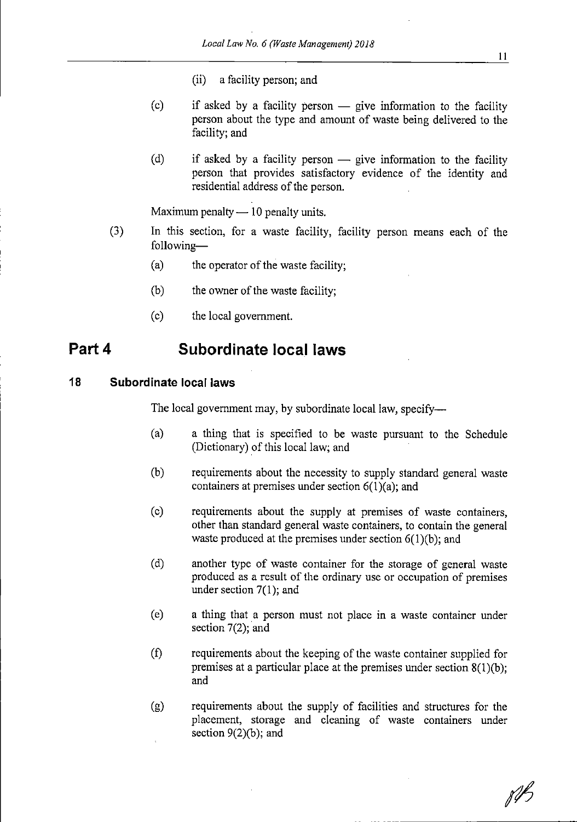- (ii) a facility person; and
- (c) if asked by a facility person give information to the facility person about the type and amount of waste being delivered to the facility; and person about the type and amount of waste being delivered to the facility; and
- (d) if asked by a facility person —<br>person that provides satisfactor<br>residential address of the person. if asked by a facility person  $\frac{1}{x}$  give information to the facility person that provides satisfactory evidence of the identity and residential address of the person.

Maximum penalty  $-10$  penalty units.

- Maximum penalty 10 penalty units.<br>
(3) In this section, for a waste facility, facility person means each of the<br>
following following-
	- (a) the operator of the waste facility;
	- (b) the owner of the waste facility;
	- (c) the local government.

## Part 4 Subordinate local laws

#### 18 Subordinate local laws

The local government may, by subordinate local law, specify---

- (a) <sup>a</sup> thing that is specified to be waste pursuant to the Schedule (Dictionary) of this local law; and
- (b) requirements about the necessity to supply standard general waste containers at premises under section  $6(1)(a)$ ; and
- (c) requirements about the supply at premises of waste containers, other than standard general waste containers, to contain the general waste produced at the premises under section  $6(1)(b)$ ; and
- (d) another type of waste container for the storage of general waste produced as a result of the ordinary use or occupation of premises under section 7(1); and
- (e) <sup>a</sup> thing that <sup>a</sup> person must not place in <sup>a</sup> waste container under section 7(2); and
- (f) requirementsabout the keeping of the waste container supplied for premises at a particular place at the premises under section 8(1)(b); and
- (g) requirements about the supply of facilities and structures for the placement, storage and cleaning of waste containers under section  $9(2)(b)$ ; and

fB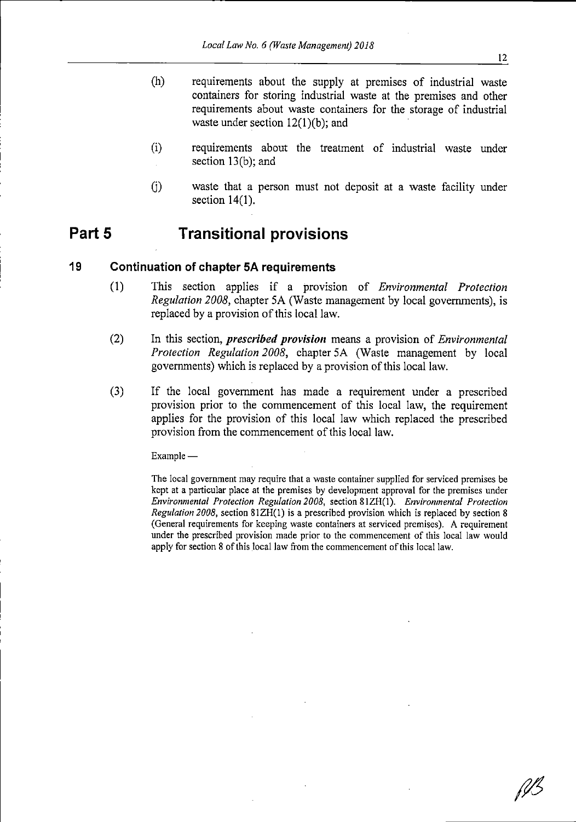- (h) requirements about the supply at premises of industrial waste containers for storing industrial waste at the premises and other requirements about waste containers for the storage of industrial waste under section  $12(1)(b)$ ; and
- (i) requirements about the treatment of industrial waste under section 13(b); and
- (j) waste that <sup>a</sup> person must not deposit at <sup>a</sup> waste facility under section 14(1).

## Part <sup>5</sup> Transitional provisions

#### 19 Continuation of chapter 5A requirements

- (1) This section applies if <sup>a</sup> provision of Environmental Protection Regulation 2008, chapter 5A (Waste management by local governments), is replaced by a provision of this local law.
- $(2)$  In this section, *prescribed provision* means a provision of *Environmental* Protection Regulation 2008, chapter 5A (Waste management by local governments) which is replaced by a provision of this local law.
- (3) If the local government has made <sup>a</sup> requirement under <sup>a</sup> prescribed provision prior to the commencement of this local law, the requirement applies for the provision of this local law which replaced the prescribed provision from the commencement of this local law.

Example

The local government may require that a waste container supplied for serviced premises be kept at a particular place at the premises by development approval for the premises under Environmental Protection Regulation2008, section 81ZB(1). Environmental Protection Regulation 2008, section  $81ZH(1)$  is a prescribed provision which is replaced by section 8 (General requirements for keeping waste containers at serviced premises). A requirement under the prescribed provision made prior to the commencement of this local law would apply for section 8 of this local law from the commencement of this local law.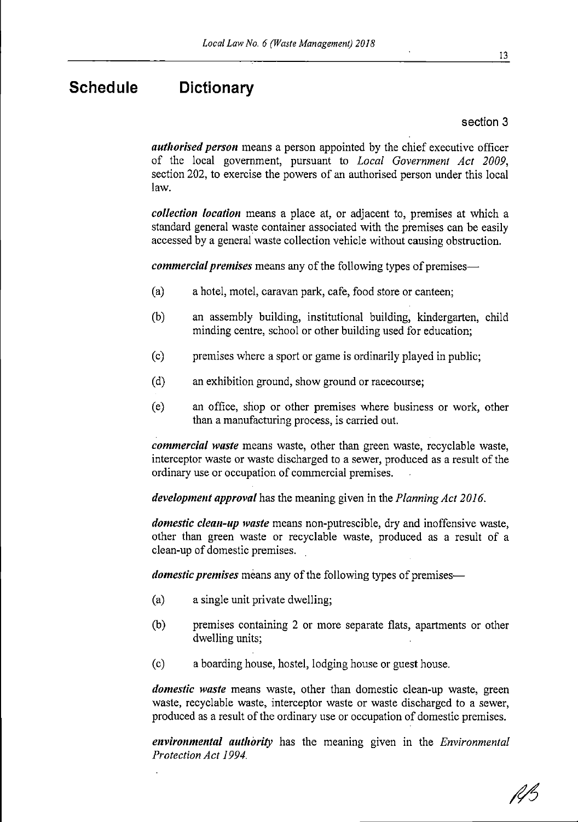## Schedule Dictionary

section 3

authorised person means a person appointed by the chief executive officer of the local government, pursuant to Local Government Act 2009, section 202, to exercise the powers of an authorised person under this local law.

collection location means a place at, or adjacent to, premises at which a standard general waste container associated with the premises can be easily accessed by a general waste collection vehicle without causing obstruction.

commercial premises means any of the following types of premises—

- (a) <sup>a</sup> hotel, motel, caravan park, cafe, food store or canteen;
- (b) an assembly building, institutional building, kindergarten, child minding centre, school or other building used for education;
- (c) premises where <sup>a</sup> sport or game is ordinarilyplayed in public;
- (d) an exhibition ground, show ground or racecourse;
- (e) an office, shop or other premises where business or work, other than a manufacturing process, is carried out.

commercial waste means waste, other than green waste, recyclable waste, interceptor waste or waste discharged to a sewer, produced as a result of the ordinary use or occupation of commercial premises.

development approval has the meaning given in the Planning Act 2016.

domestic clean-up waste means non-putrescible, dry and inoffensive waste, other than green waste or recyclable waste, produced as <sup>a</sup> result of <sup>a</sup> clean-up of domestic premises.

domestic premises means any of the following types of premises-

- (a) <sup>a</sup> single unit private dwelling;
- (b) premises containing <sup>2</sup> or more separate flats, apartments or other dwelling units;
- (c) a boarding house, hostel, lodging house or guest house.

domestic waste means waste, other than domestic clean-up waste, green waste, recyclable waste, interceptor waste or waste discharged to <sup>a</sup> sewer, produced as a result of the ordinary use or occupation of domestic premises.

environmental authority has the meaning given in the *Environmental* Protection Act 1994.

13

RB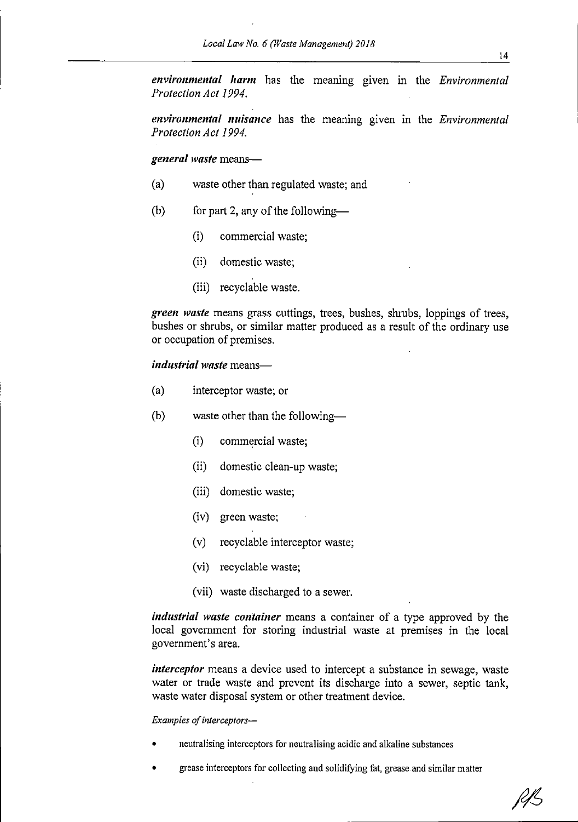environmental harm has the meaning given in the Environmental Protection Act 1994.

environmental nuisance has the meaning given in the Environmental Protection Act 1994.

general waste means-

- (a) waste other than regulated waste; and
- (b) for part 2, any of the following-
	- (i) commercial waste;
	- (ii) domestic waste:
	- (iii) recyclable waste.

green waste means grass cuttings, trees, bushes, shrubs, loppings of trees, bushes or shrubs, or similar matter produced as <sup>a</sup> result of the ordinary use or occupation of premises.

industrial waste means-

- (a) interceptor waste; or
- (b) waste other than the following-
	- (i) commercialwaste;
	- (ii) domestic clean-upwaste;
	- (iii) domestic waste:
	- (iv) green waste;
	- (v) recyclable interceptor waste;
	- (vi) recyclable waste;
	- (vii) waste discharged to a sewer.

industrial waste container means a container of a type approved by the local government for storing industrial waste at premises in the local government's area.

interceptor means a device used to intercept a substance in sewage, waste water or trade waste and prevent its discharge into <sup>a</sup> sewer, septic tank, waste water disposal system or other treatment device.

#### Examples of interceptors-

- neutralising interceptors for neutralising acidic and alkaline substances
- grease interceptors for collecting and solidifying fat, grease and similar matter

RB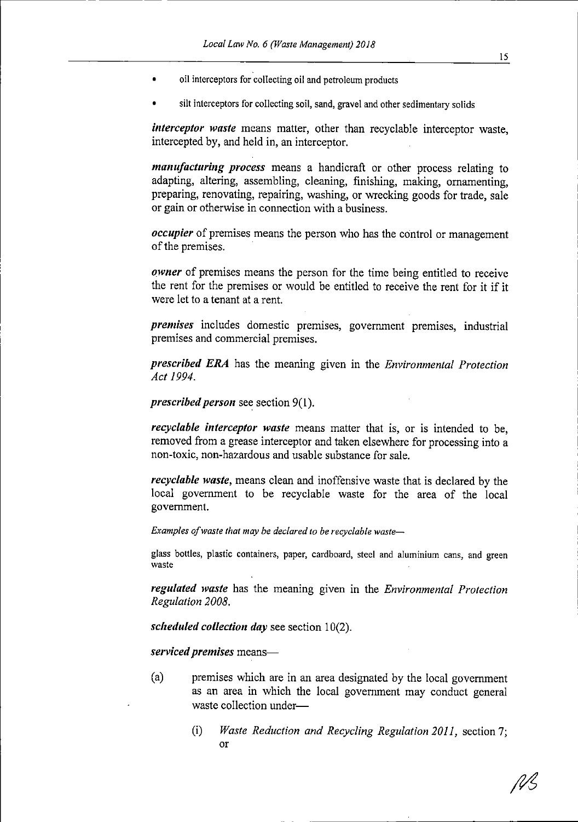- oil interceptors for collecting oil and petroleum products
- silt interceptors for collecting soil, sand, gravel and other sedimentary solids

interceptor waste means matter, other than recyclable interceptor waste, intercepted by, and held in, an interceptor.

manufacturing process means a handicraft or other process relating to adapting, altering, assembling, cleaning, finishing, making, ornamenting, preparing, renovating, repairing, washing, or wrecking goods for trade, sale or gain or otherwise in connection with <sup>a</sup> business.

occupier of premises means the person who has the control or management of the premises.

owner of premises means the person for the time being entitled to receive the rent for the premises or would be entitled to receive the rent for it if it were let to <sup>a</sup> tenant at <sup>a</sup> rent.

premises includes domestic premises, government premises, industrial premises and commercial premises.

prescribed ERA has the meaning given in the Environmental Protection Act 1994.

prescribed person see section  $9(1)$ .

recyclable interceptor waste means matter that is, or is intended to be, removed from a grease interceptor and taken elsewhere for processing into a non-toxic, non-hazardous and usable substance for sale.

recyclable waste, means clean and inoffensive waste that is declared by the local government to be recyclable waste for the area of the local government.

Examples of waste that may be declared to be recyclable waste-

glass bottles, plastic containers, paper, cardboard, steel and aluminium cans, and green waste

regulated waste has the meaning given in the Environmental Protection Regulation 2008.

scheduled collection day see section  $10(2)$ .

serviced premises means-

- (a) premises which are in an area designated by the local government as an area in which the local government may conduct general waste collection under-
	- (i) Waste Reduction and Recycling Regulation 2011, section 7; or